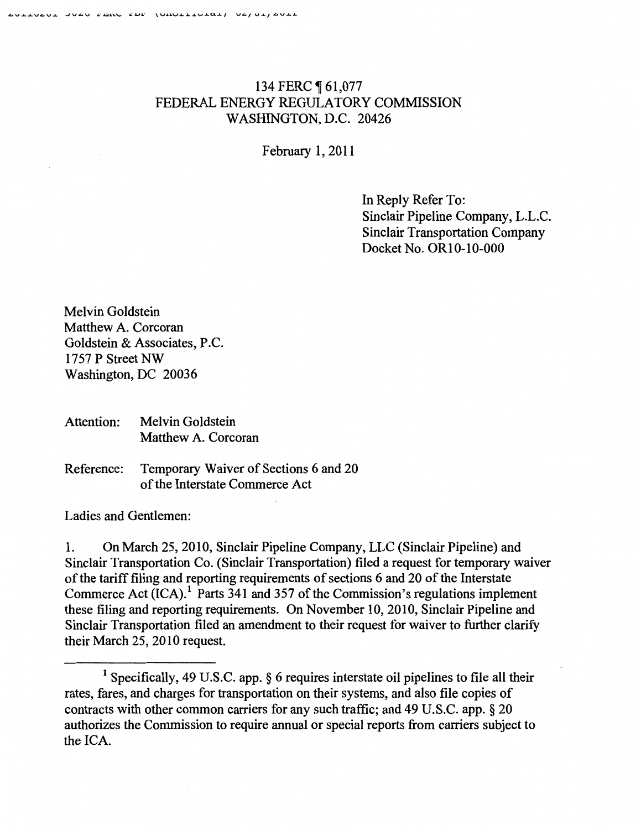# 134 FERC 161,077 FEDERAL ENERGY REGULATORY COMMISSION WASHINGTON, D.C. 20426

February I, 20II

In Reply Refer To: Sinclair Pipeline Company, L.L.C. Sinclair Transportation Company Docket No. ORIO-I0-000

Melvin Goldstein Matthew A. Corcoran Goldstein & Associates, P.C. I757 P Street NW Washington, DC 20036

Attention: Melvin Goldstein Matthew A. Corcoran

Reference: Temporary Waiver of Sections 6 and 20 of the Interstate Commerce Act

Ladies and Gentlemen:

1. On March 25, 2010, Sinclair Pipeline Company, LLC (Sinclair Pipeline) and Sinclair Transportation Co. (Sinclair Transportation) filed a request for temporary waiver of the tariff filing and reporting requirements of sections 6 and 20 of the Interstate Commerce Act  $(ICA)$ <sup>1</sup> Parts 341 and 357 of the Commission's regulations implement these filing and reporting requirements. On November IO, 20IO, Sinclair Pipeline and Sinclair Transportation filed an amendment to their request for waiver to further clarify their March 25, 2010 request.

<sup>&</sup>lt;sup>1</sup> Specifically, 49 U.S.C. app. § 6 requires interstate oil pipelines to file all their rates, fares, and charges for transportation on their systems, and also file copies of contracts with other common carriers for any such traffic; and 49 U.S.C. app. § 20 authorizes the Commission to require annual or special reports from carriers subject to the ICA.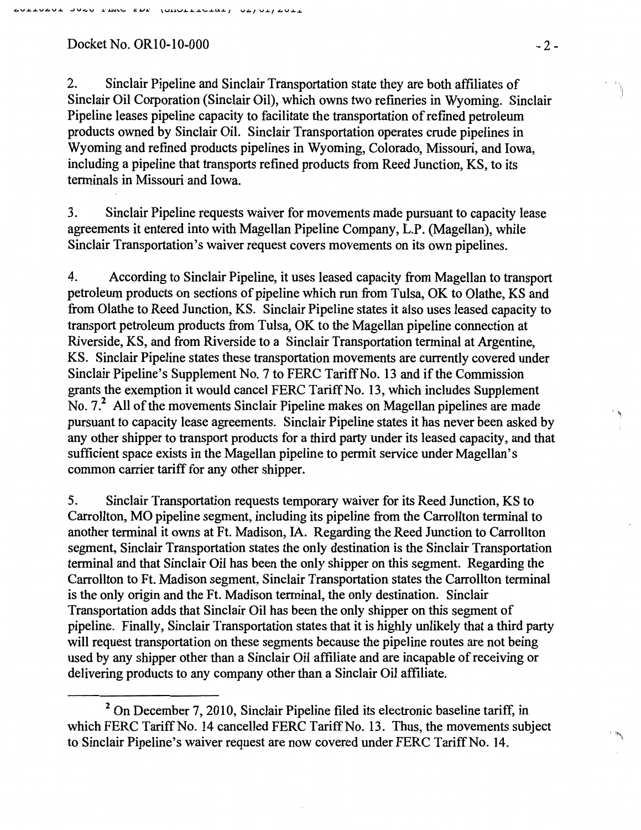## Docket No. OR10-10-000 - 2 -

2. Sinclair Pipeline and Sinclair Transportation state they are both affiliates of Sinclair Oil Corporation (Sinclair Oil), which owns two refineries in Wyoming. Sinclair Pipeline leases pipeline capacity to facilitate the transportation of refined petroleum products owned by Sinclair Oil. Sinclair Transportation operates crude pipelines in Wyoming and refined products pipelines in Wyoming, Colorado, Missouri, and Iowa, including a pipeline that transports refined products from Reed Junction, KS, to its terminals in Missouri and Iowa.

3. Sinclair Pipeline requests waiver for movements made pursuant to capacity lease agreements it entered into with Magellan Pipeline Company, L.P. (Magellan), while Sinclair Transportation's waiver request covers movements on its own pipelines.

4. According to Sinclair Pipeline, it uses leased capacity from Magellan to transport petroleum products on sections of pipeline which run from Tulsa, OK to Olathe, KS and from Olathe to Reed Junction, KS. Sinclair Pipeline states it also uses leased capacity to transport petroleum products from Tulsa, OK to the Magellan pipeline connection at Riverside, KS, and from Riverside to a Sinclair Transportation terminal at Argentine, KS. Sinclair Pipeline states these transportation movements are currently covered under Sinclair Pipeline's Supplement No. 7 to FERC Tariff No. 13 and if the Commission grants the exemption it would cancel FERC Tariff No. 13, which includes Supplement No. 7<sup>2</sup> All of the movements Sinclair Pipeline makes on Magellan pipelines are made pursuant to capacity lease agreements. Sinclair Pipeline states it has never been asked by any other shipper to transport products for a third party under its leased capacity, and that sufficient space exists in the Magellan pipeline to permit service under Magellan's common carrier tariff for any other shipper.

5. Sinclair Transportation requests temporary waiver for its Reed Junction, KS to Carrollton, MO pipeline segment, including its pipeline from the Carrollton terminal to another terminal it owns at Ft. Madison, lA. Regarding the Reed Junction to Carrollton segment, Sinclair Transportation states the only destination is the Sinclair Transportation terminal and that Sinclair Oil has been the only shipper on this segment. Regarding the Carrollton to Ft. Madison segment, Sinclair Transportation states the Carrollton terminal is the only origin and the Ft. Madison terminal, the only destination. Sinclair Transportation adds that Sinclair Oil has been the only shipper on this segment of pipeline. Finally, Sinclair Transportation states that it is highly unlikely that a third party will request transportation on these segments because the pipeline routes are not being used by any shipper other than a Sinclair Oil affiliate and are incapable of receiving or delivering products to any company other than a Sinclair Oil affiliate.

 $\cdot$   $\cdot$ 

 $\mathbb{I}$ 

<sup>&</sup>lt;sup>2</sup> On December 7, 2010, Sinclair Pipeline filed its electronic baseline tariff, in which FERC Tariff No. 14 cancelled FERC Tariff No. 13. Thus, the movements subject to Sinclair Pipeline's waiver request are now covered under FERC Tariff No. 14.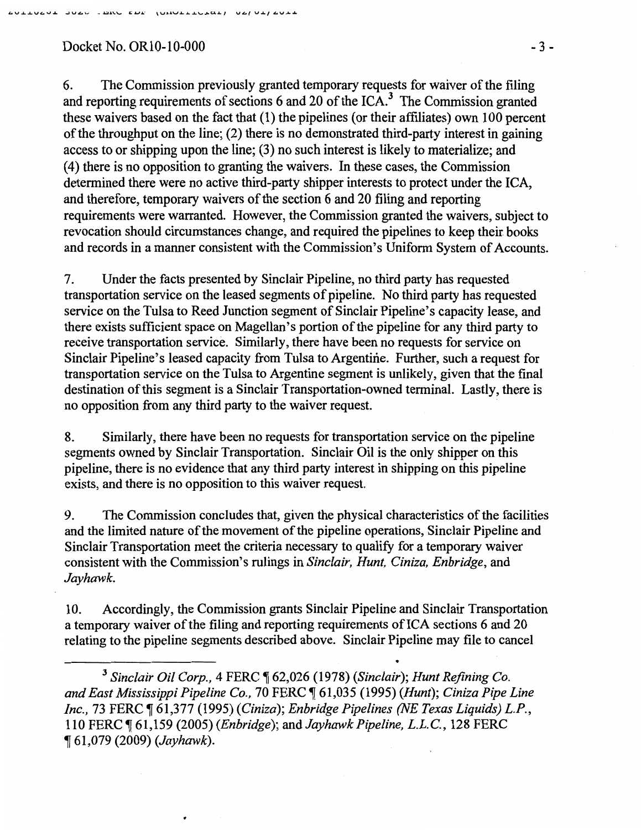JUAC TEMO EDE (ONOITIOIRI) UA/UI/AUII

# Docket No. OR10-10-000 - 3 -

 $2.91 + 1929 +$ 

6. The Commission previously granted temporary requests for waiver of the filing and reporting requirements of sections 6 and 20 of the  $ICA<sup>3</sup>$ . The Commission granted these waivers based on the fact that (1) the pipelines (or their affiliates) own 100 percent of the throughput on the line; (2) there is no demonstrated third-party interest in gaining access to or shipping upon the line; (3) no such interest is likely to materialize; and (4) there is no opposition to granting the waivers. In these cases, the Commission determined there were no active third-party shipper interests to protect under the ICA, and therefore, temporary waivers of the section 6 and 20 filing and reporting requirements were warranted. However, the Commission granted the waivers, subject to revocation should circumstances change, and required the pipelines to keep their books and records in a manner consistent with the Commission's Uniform System of Accounts.

7. Under the facts presented by Sinclair Pipeline, no third party has requested transportation service on the leased segments of pipeline. No third party has requested service on the Tulsa to Reed Junction segment of Sinclair Pipeline's capacity lease, and there exists sufficient space on Magellan's portion of the pipeline for any third party to receive transportation service. Similarly, there have been no requests for service on Sinclair Pipeline's leased capacity from Tulsa to Argentine. Further, such a request for transportation service on the Tulsa to Argentine segment is unlikely, given that the final destination of this segment is a Sinclair Transportation-owned terminal. Lastly, there is no opposition from any third party to the waiver request.

8. Similarly, there have been no requests for transportation service on the pipeline segments owned by Sinclair Transportation. Sinclair Oil is the only shipper on this pipeline, there is no evidence that any third party interest in shipping on this pipeline exists, and there is no opposition to this waiver request.

9. The Commission concludes that, given the physical characteristics of the facilities and the limited nature of the movement of the pipeline operations, Sinclair Pipeline and Sinclair Transportation meet the criteria necessary to qualify for a temporary waiver consistent with the Commission's rulings in *Sinclair, Hunt, Ciniza, Enbridge,* and *Jayhawk.* 

10. Accordingly, the Commission grants Sinclair Pipeline and Sinclair Transportation a temporary waiver of the filing and reporting requirements of ICA sections 6 and 20 relating to the pipeline segments described above. Sinclair Pipeline may file to cancel

<sup>3</sup> Sinclair Oil Corp., 4 FERC ¶ 62,026 (1978) *(Sinclair)*; Hunt Refining Co. *and East Mississippi Pipeline Co.,* 70 FERC ~ 61,035 (1995) *(Hunt); Ciniza Pipe Line Inc., 73 FERC*  $\P$  61,377 (1995) *(Ciniza); Enbridge Pipelines (NE Texas Liquids) L.P.*, 110 FERC ~ 61,159 (2005) *(Enbridge);* and *Jayhawk Pipeline,* L.L.C., 128 FERC ~ 61,079 (2009) *(Jayhawk).*